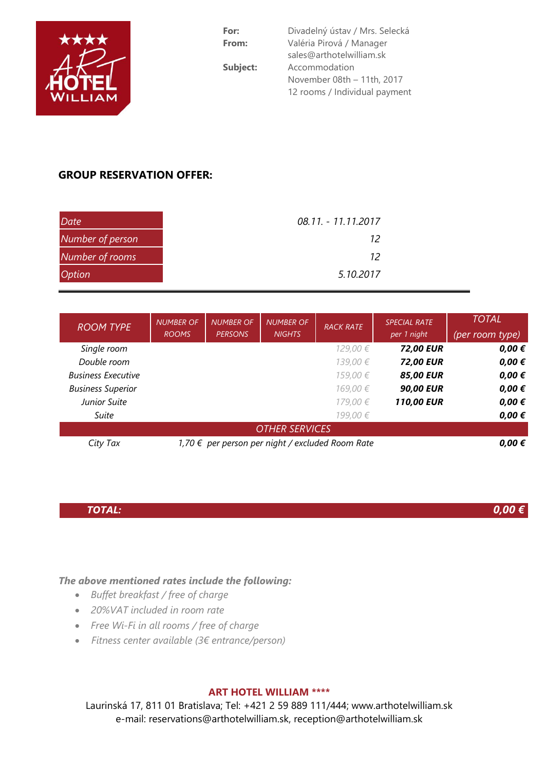

| For:     | Divadelný ústav / Mrs. Selecká |  |  |  |  |
|----------|--------------------------------|--|--|--|--|
| From:    | Valéria Pirová / Manager       |  |  |  |  |
|          | sales@arthotelwilliam.sk       |  |  |  |  |
| Subject: | Accommodation                  |  |  |  |  |
|          | November 08th - 11th, 2017     |  |  |  |  |
|          | 12 rooms / Individual payment  |  |  |  |  |
|          |                                |  |  |  |  |

# **GROUP RESERVATION OFFER:**

| <b>Date</b>      | 08.11. - 11.11.2017 |  |
|------------------|---------------------|--|
| Number of person | 12                  |  |
| Number of rooms  | 12                  |  |
| <b>Option</b>    | 5.10.2017           |  |

| <b>ROOM TYPE</b>          | <b>NUMBER OF</b><br><b>ROOMS</b>                 | <b>NUMBER OF</b><br><b>PERSONS</b> | <b>NUMBER OF</b><br><b>NIGHTS</b> | <b>RACK RATE</b> | <b>SPECIAL RATE</b><br>per 1 night | <b>TOTAL</b><br>(per room type) |  |  |  |  |
|---------------------------|--------------------------------------------------|------------------------------------|-----------------------------------|------------------|------------------------------------|---------------------------------|--|--|--|--|
| Single room               |                                                  |                                    |                                   | 129,00 €         | <b>72,00 EUR</b>                   | $0,00 \in$                      |  |  |  |  |
| Double room               |                                                  |                                    |                                   | 139,00 €         | <b>72,00 EUR</b>                   | $0,00 \in$                      |  |  |  |  |
| <b>Business Executive</b> |                                                  |                                    |                                   | 159,00 €         | <b>85,00 EUR</b>                   | $0,00 \in$                      |  |  |  |  |
| <b>Business Superior</b>  |                                                  |                                    |                                   | 169,00 €         | <b>90,00 EUR</b>                   | $0,00 \in$                      |  |  |  |  |
| Junior Suite              |                                                  |                                    |                                   | 179,00 €         | <b>110,00 EUR</b>                  | $0,00 \in$                      |  |  |  |  |
| Suite                     |                                                  |                                    |                                   | 199,00 €         |                                    | $0,00 \in$                      |  |  |  |  |
| <b>OTHER SERVICES</b>     |                                                  |                                    |                                   |                  |                                    |                                 |  |  |  |  |
| City Tax                  | 1,70 € per person per night / excluded Room Rate | $0,00 \in$                         |                                   |                  |                                    |                                 |  |  |  |  |

## *TOTAL:*

*0,00 €*

*The above mentioned rates include the following:*

- *Buffet breakfast / free of charge*
- *20%VAT included in room rate*
- *Free Wi-Fi in all rooms / free of charge*
- *Fitness center available (3€ entrance/person)*

#### **ART HOTEL WILLIAM \*\*\*\***

Laurinská 17, 811 01 Bratislava; Tel: +421 2 59 889 111/444; www.arthotelwilliam.sk e-mail: [reservations@arthotelwilliam.sk,](mailto:reservations@arthotelwilliam.sk) [reception@arthotelwilliam.sk](mailto:reception@arthotelwilliam.sk)